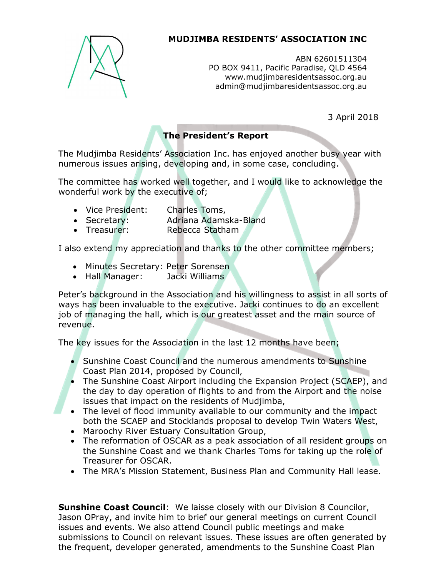

## MUDJIMBA RESIDENTS' ASSOCIATION INC

ABN 62601511304 PO BOX 9411, Pacific Paradise, QLD 4564 www.mudjimbaresidentsassoc.org.au admin@mudjimbaresidentsassoc.org.au

3 April 2018

# The President's Report

The Mudjimba Residents' Association Inc. has enjoyed another busy year with numerous issues arising, developing and, in some case, concluding.

The committee has worked well together, and I would like to acknowledge the wonderful work by the executive of;

- Vice President: Charles Toms,
- Secretary: Adriana Adamska-Bland
- Treasurer: Rebecca Statham

I also extend my appreciation and thanks to the other committee members;

- Minutes Secretary: Peter Sorensen
- Hall Manager: Jacki Williams

Peter's background in the Association and his willingness to assist in all sorts of ways has been invaluable to the executive. Jacki continues to do an excellent job of managing the hall, which is our greatest asset and the main source of revenue.

The key issues for the Association in the last 12 months have been;

- Sunshine Coast Council and the numerous amendments to Sunshine Coast Plan 2014, proposed by Council,
- The Sunshine Coast Airport including the Expansion Project (SCAEP), and the day to day operation of flights to and from the Airport and the noise issues that impact on the residents of Mudjimba,
- The level of flood immunity available to our community and the impact both the SCAEP and Stocklands proposal to develop Twin Waters West,
- Maroochy River Estuary Consultation Group,
- The reformation of OSCAR as a peak association of all resident groups on the Sunshine Coast and we thank Charles Toms for taking up the role of Treasurer for OSCAR.
- The MRA's Mission Statement, Business Plan and Community Hall lease.

**Sunshine Coast Council:** We laisse closely with our Division 8 Councilor, Jason OPray, and invite him to brief our general meetings on current Council issues and events. We also attend Council public meetings and make submissions to Council on relevant issues. These issues are often generated by the frequent, developer generated, amendments to the Sunshine Coast Plan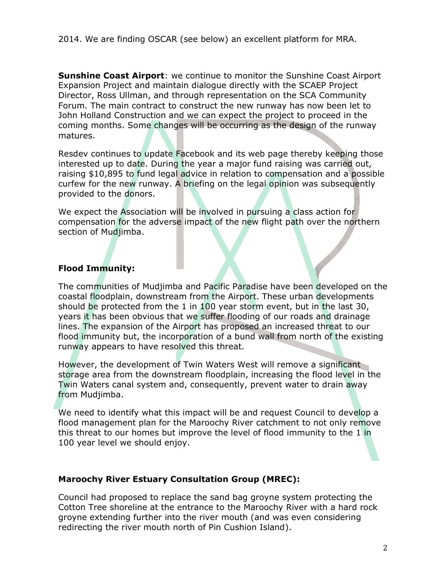**Sunshine Coast Airport:** we continue to monitor the Sunshine Coast Airport Expansion Project and maintain dialogue directly with the SCAEP Project Director, Ross Ullman, and through representation on the SCA Community Forum. The main contract to construct the new runway has now been let to John Holland Construction and we can expect the project to proceed in the coming months. Some changes will be occurring as the design of the runway matures.

Resdev continues to update Facebook and its web page thereby keeping those interested up to date. During the year a major fund raising was carried out, raising \$10,895 to fund legal advice in relation to compensation and a possible curfew for the new runway. A briefing on the legal opinion was subsequently provided to the donors.

We expect the Association will be involved in pursuing a class action for compensation for the adverse impact of the new flight path over the northern section of Mudjimba.

### Flood Immunity:

The communities of Mudjimba and Pacific Paradise have been developed on the coastal floodplain, downstream from the Airport. These urban developments should be protected from the 1 in 100 year storm event, but in the last 30, years it has been obvious that we suffer flooding of our roads and drainage lines. The expansion of the Airport has proposed an increased threat to our flood immunity but, the incorporation of a bund wall from north of the existing runway appears to have resolved this threat.

However, the development of Twin Waters West will remove a significant storage area from the downstream floodplain, increasing the flood level in the Twin Waters canal system and, consequently, prevent water to drain away from Mudjimba.

We need to identify what this impact will be and request Council to develop a flood management plan for the Maroochy River catchment to not only remove this threat to our homes but improve the level of flood immunity to the 1 in 100 year level we should enjoy.

### Maroochy River Estuary Consultation Group (MREC):

Council had proposed to replace the sand bag groyne system protecting the Cotton Tree shoreline at the entrance to the Maroochy River with a hard rock groyne extending further into the river mouth (and was even considering redirecting the river mouth north of Pin Cushion Island).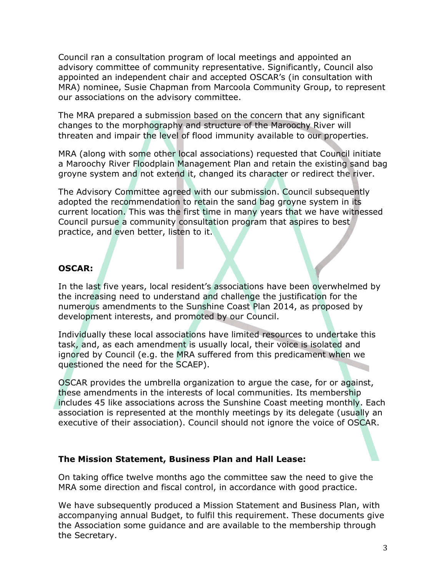Council ran a consultation program of local meetings and appointed an advisory committee of community representative. Significantly, Council also appointed an independent chair and accepted OSCAR's (in consultation with MRA) nominee, Susie Chapman from Marcoola Community Group, to represent our associations on the advisory committee.

The MRA prepared a submission based on the concern that any significant changes to the morphography and structure of the Maroochy River will threaten and impair the level of flood immunity available to our properties.

MRA (along with some other local associations) requested that Council initiate a Maroochy River Floodplain Management Plan and retain the existing sand bag groyne system and not extend it, changed its character or redirect the river.

The Advisory Committee agreed with our submission. Council subsequently adopted the recommendation to retain the sand bag groyne system in its current location. This was the first time in many years that we have witnessed Council pursue a community consultation program that aspires to best practice, and even better, listen to it.

#### OSCAR:

In the last five years, local resident's associations have been overwhelmed by the increasing need to understand and challenge the justification for the numerous amendments to the Sunshine Coast Plan 2014, as proposed by development interests, and promoted by our Council.

Individually these local associations have limited resources to undertake this task, and, as each amendment is usually local, their voice is isolated and ignored by Council (e.g. the MRA suffered from this predicament when we questioned the need for the SCAEP).

OSCAR provides the umbrella organization to argue the case, for or against, these amendments in the interests of local communities. Its membership includes 45 like associations across the Sunshine Coast meeting monthly. Each association is represented at the monthly meetings by its delegate (usually an executive of their association). Council should not ignore the voice of OSCAR.

#### The Mission Statement, Business Plan and Hall Lease:

On taking office twelve months ago the committee saw the need to give the MRA some direction and fiscal control, in accordance with good practice.

We have subsequently produced a Mission Statement and Business Plan, with accompanying annual Budget, to fulfil this requirement. These documents give the Association some guidance and are available to the membership through the Secretary.